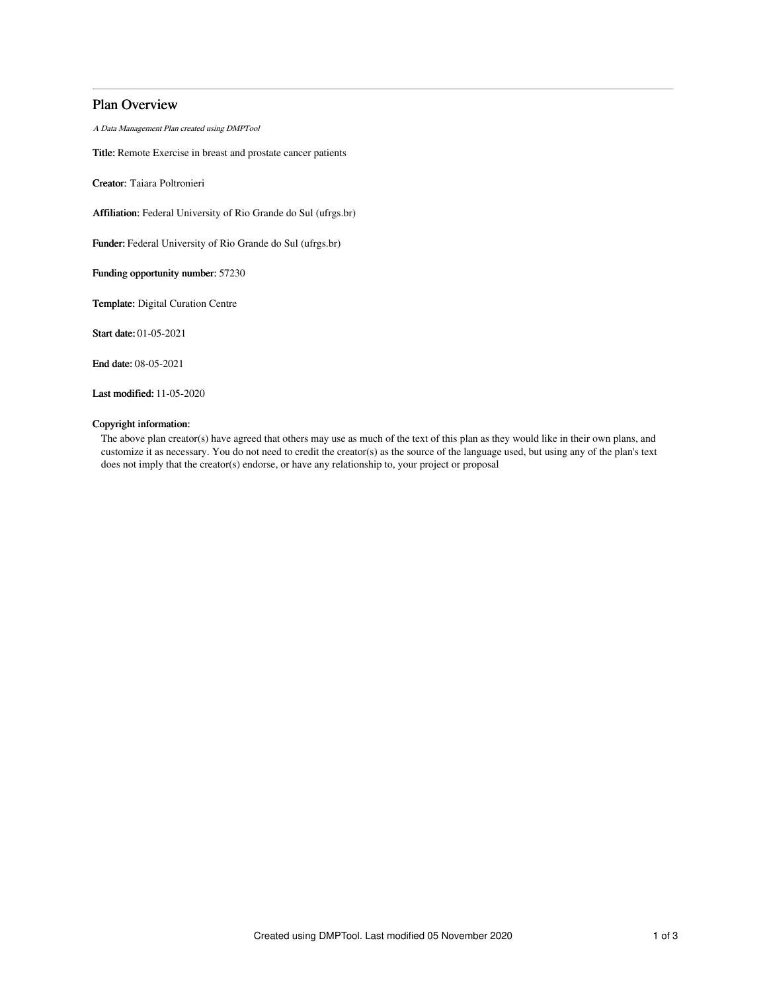# Plan Overview

A Data Management Plan created using DMPTool

Title: Remote Exercise in breast and prostate cancer patients

Creator: Taiara Poltronieri

Affiliation: Federal University of Rio Grande do Sul (ufrgs.br)

Funder: Federal University of Rio Grande do Sul (ufrgs.br)

Funding opportunity number: 57230

Template: Digital Curation Centre

Start date: 01-05-2021

End date: 08-05-2021

Last modified: 11-05-2020

# Copyright information:

The above plan creator(s) have agreed that others may use as much of the text of this plan as they would like in their own plans, and customize it as necessary. You do not need to credit the creator(s) as the source of the language used, but using any of the plan's text does not imply that the creator(s) endorse, or have any relationship to, your project or proposal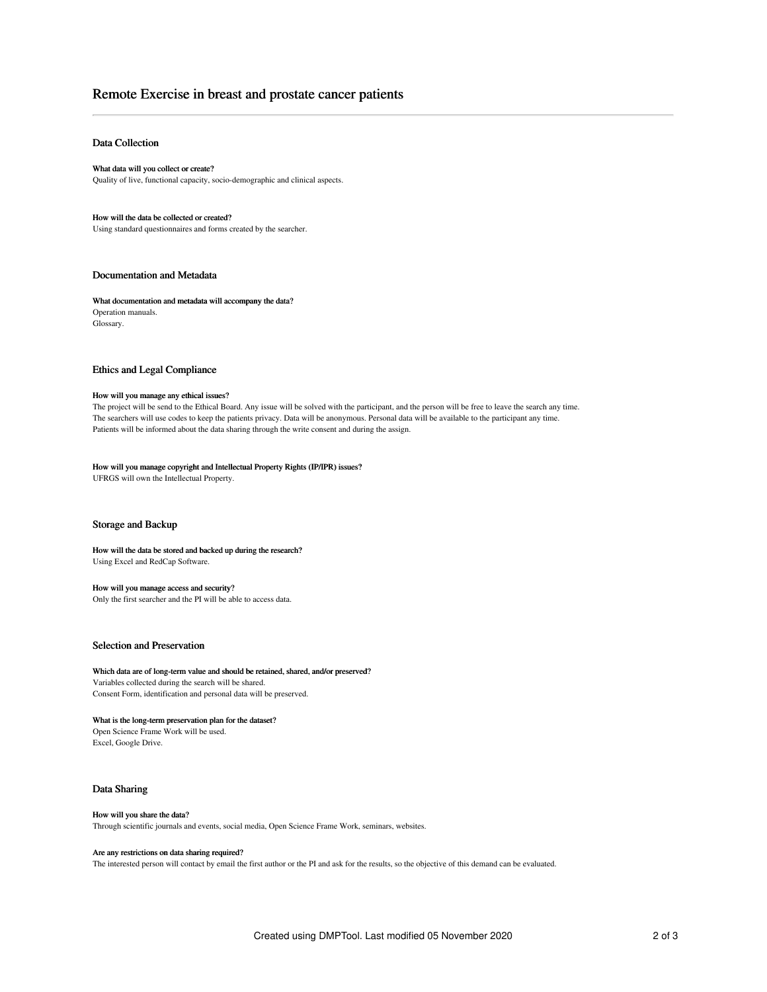# Remote Exercise in breast and prostate cancer patients

## Data Collection

What data will you collect or create? Quality of live, functional capacity, socio-demographic and clinical aspects.

How will the data be collected or created? Using standard questionnaires and forms created by the searcher.

### Documentation and Metadata

What documentation and metadata will accompany the data? Operation manuals. Glossary.

#### Ethics and Legal Compliance

#### How will you manage any ethical issues?

The project will be send to the Ethical Board. Any issue will be solved with the participant, and the person will be free to leave the search any time. The searchers will use codes to keep the patients privacy. Data will be anonymous. Personal data will be available to the participant any time. Patients will be informed about the data sharing through the write consent and during the assign.

## How will you manage copyright and Intellectual Property Rights (IP/IPR) issues?

UFRGS will own the Intellectual Property.

#### Storage and Backup

## How will the data be stored and backed up during the research?

Using Excel and RedCap Software.

#### How will you manage access and security?

Only the first searcher and the PI will be able to access data.

## Selection and Preservation

Which data are of long-term value and should be retained, shared, and/or preserved? Variables collected during the search will be shared.

Consent Form, identification and personal data will be preserved.

## What is the long-term preservation plan for the dataset?

Open Science Frame Work will be used. Excel, Google Drive.

#### Data Sharing

#### How will you share the data?

Through scientific journals and events, social media, Open Science Frame Work, seminars, websites.

### Are any restrictions on data sharing required?

The interested person will contact by email the first author or the PI and ask for the results, so the objective of this demand can be evaluated.